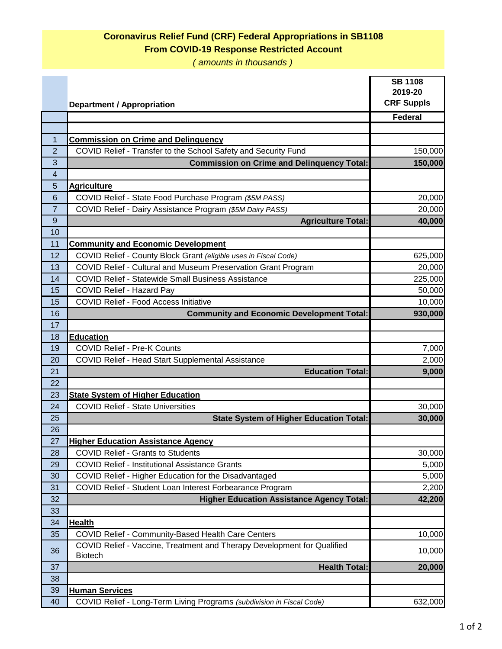## **Coronavirus Relief Fund (CRF) Federal Appropriations in SB1108 From COVID-19 Response Restricted Account**

*( amounts in thousands )*

|                 | <b>Department / Appropriation</b>                                                  | <b>SB 1108</b><br>2019-20<br><b>CRF Suppls</b> |
|-----------------|------------------------------------------------------------------------------------|------------------------------------------------|
|                 |                                                                                    | <b>Federal</b>                                 |
|                 |                                                                                    |                                                |
| 1               | <b>Commission on Crime and Delinquency</b>                                         |                                                |
| $\overline{2}$  | COVID Relief - Transfer to the School Safety and Security Fund                     | 150,000                                        |
| 3               | <b>Commission on Crime and Delinquency Total:</b>                                  | 150,000                                        |
| 4               |                                                                                    |                                                |
| 5               | <b>Agriculture</b>                                                                 |                                                |
| $6\phantom{1}6$ | COVID Relief - State Food Purchase Program (\$5M PASS)                             | 20,000                                         |
| $\overline{7}$  | COVID Relief - Dairy Assistance Program (\$5M Dairy PASS)                          | 20,000                                         |
| 9               | <b>Agriculture Total:</b>                                                          | 40,000                                         |
| 10              |                                                                                    |                                                |
| 11              | <b>Community and Economic Development</b>                                          |                                                |
| 12              | COVID Relief - County Block Grant (eligible uses in Fiscal Code)                   | 625,000                                        |
| 13              | COVID Relief - Cultural and Museum Preservation Grant Program                      | 20,000                                         |
| 14              | <b>COVID Relief - Statewide Small Business Assistance</b>                          | 225,000                                        |
| 15              | COVID Relief - Hazard Pay                                                          | 50,000                                         |
| 15              | <b>COVID Relief - Food Access Initiative</b>                                       | 10,000                                         |
| 16              | <b>Community and Economic Development Total:</b>                                   | 930,000                                        |
| 17              |                                                                                    |                                                |
| 18              | <b>Education</b>                                                                   |                                                |
| 19              | <b>COVID Relief - Pre-K Counts</b>                                                 | 7,000                                          |
| 20              | COVID Relief - Head Start Supplemental Assistance                                  | 2,000                                          |
| 21              | <b>Education Total:</b>                                                            | 9,000                                          |
| 22              |                                                                                    |                                                |
| 23              | <b>State System of Higher Education</b>                                            |                                                |
| 24              | <b>COVID Relief - State Universities</b>                                           | 30,000                                         |
| 25              | <b>State System of Higher Education Total:</b>                                     | 30,000                                         |
| 26              |                                                                                    |                                                |
| 27              | <b>Higher Education Assistance Agency</b>                                          |                                                |
| 28              | <b>COVID Relief - Grants to Students</b>                                           | 30,000                                         |
| 29              | <b>COVID Relief - Institutional Assistance Grants</b>                              | 5,000                                          |
| 30              | COVID Relief - Higher Education for the Disadvantaged                              | 5,000                                          |
| 31              | COVID Relief - Student Loan Interest Forbearance Program                           | 2,200                                          |
| 32              | <b>Higher Education Assistance Agency Total:</b>                                   | 42,200                                         |
| 33              |                                                                                    |                                                |
| 34              | <b>Health</b>                                                                      |                                                |
| 35              | COVID Relief - Community-Based Health Care Centers                                 | 10,000                                         |
| 36              | COVID Relief - Vaccine, Treatment and Therapy Development for Qualified<br>Biotech | 10,000                                         |
| 37              | <b>Health Total:</b>                                                               | 20,000                                         |
| 38              |                                                                                    |                                                |
| 39              | <b>Human Services</b>                                                              |                                                |
| 40              | COVID Relief - Long-Term Living Programs (subdivision in Fiscal Code)              | 632,000                                        |